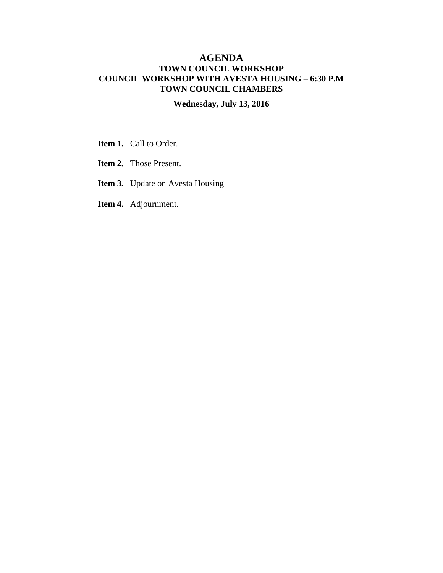## **AGENDA TOWN COUNCIL WORKSHOP COUNCIL WORKSHOP WITH AVESTA HOUSING – 6:30 P.M TOWN COUNCIL CHAMBERS**

## **Wednesday, July 13, 2016**

- **Item 1.** Call to Order.
- **Item 2.** Those Present.
- **Item 3.** Update on Avesta Housing
- **Item 4.** Adjournment.